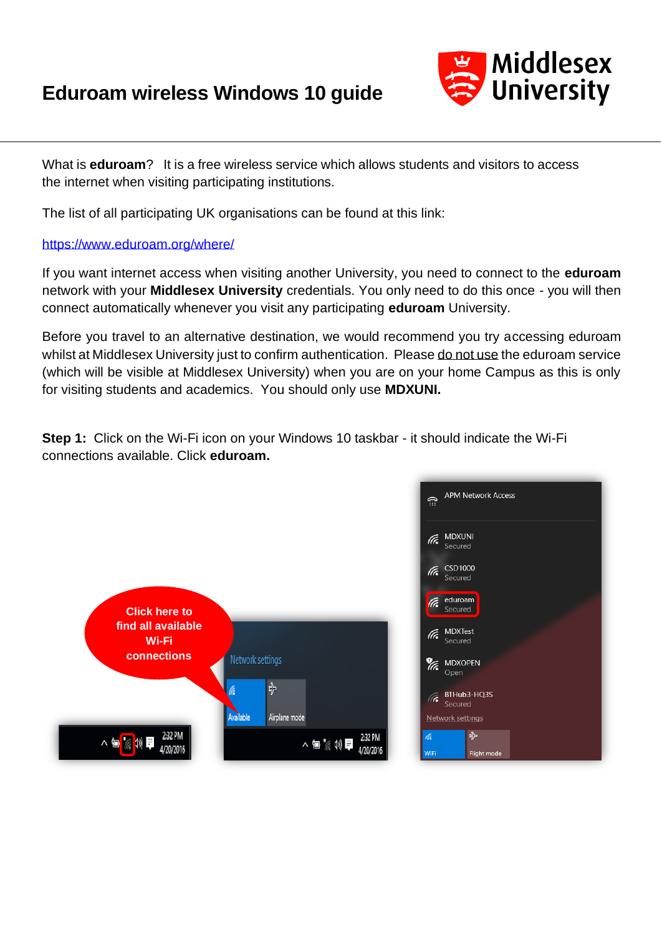## **Eduroam wireless Windows 10 guide**



What is **eduroam**? It is a free wireless service which allows students and visitors to access the internet when visiting participating institutions.

The list of all participating UK organisations can be found at this link:

## <https://www.eduroam.org/where/>

If you want internet access when visiting another University, you need to connect to the **eduroam** network with your **Middlesex University** credentials. You only need to do this once - you will then connect automatically whenever you visit any participating **eduroam** University.

Before you travel to an alternative destination, we would recommend you try accessing eduroam whilst at Middlesex University just to confirm authentication. Please do not use the eduroam service (which will be visible at Middlesex University) when you are on your home Campus as this is only for visiting students and academics. You should only use **MDXUNI.** 

**Step 1:** Click on the Wi-Fi icon on your Windows 10 taskbar - it should indicate the Wi-Fi connections available. Click **eduroam.**

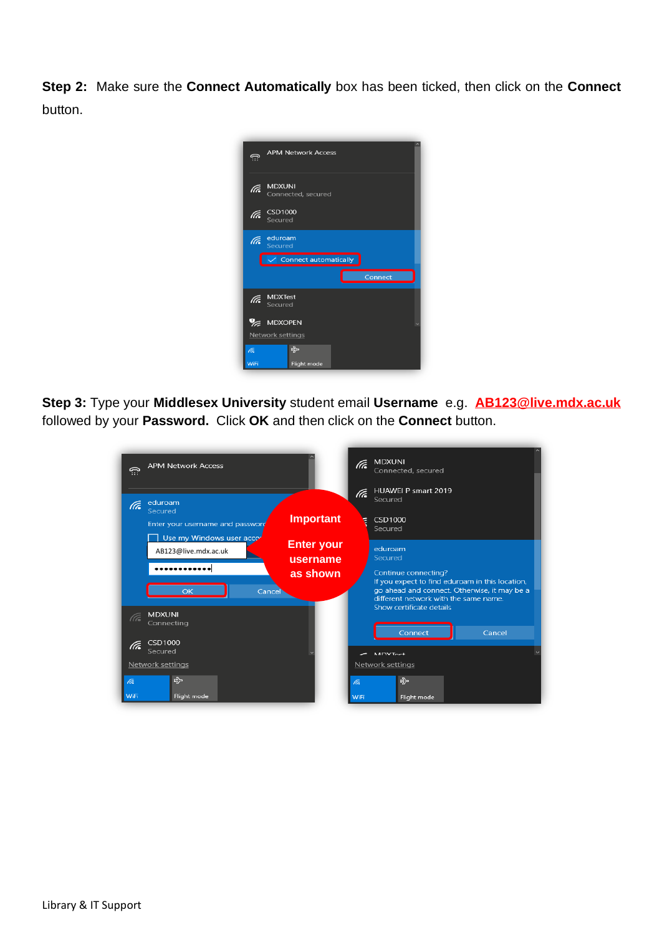**Step 2:** Make sure the **Connect Automatically** box has been ticked, then click on the **Connect**  button.



**Step 3:** Type your **Middlesex University** student email **Username** e.g. **[AB123@live.mdx.ac.uk](mailto:AB123@live.mdx.ac.uk)** followed by your **Password.** Click **OK** and then click on the **Connect** button.

| <b>APM Network Access</b><br>क़                                                                                | <b>MDXUNI</b><br>(Te<br>Connected, secured                                                                                                                                             |
|----------------------------------------------------------------------------------------------------------------|----------------------------------------------------------------------------------------------------------------------------------------------------------------------------------------|
| eduroam<br>(Ta<br>Secured<br><b>Important</b><br>Enter your username and password                              | <b>HUAWEI P smart 2019</b><br>lte.<br>Secured<br>CSD1000<br>ŧ<br>Secured                                                                                                               |
| Use my Windows user accor<br><b>Enter your</b><br>AB123@live.mdx.ac.uk<br>username<br>as shown<br>OK<br>Cancel | eduroam<br>Secured<br>Continue connecting?<br>If you expect to find eduroam in this location,<br>go ahead and connect. Otherwise, it may be a<br>different network with the same name. |
| <b>MDXUNI</b><br>(Te<br>Connecting<br><b>CSD1000</b><br>(Te<br>Secured                                         | Show certificate details<br>Connect<br>Cancel                                                                                                                                          |
| Network settings<br>수<br>lta.<br>WiFi<br>Flight mode                                                           | $M\Gamma V T_{\Omega}$<br>Network settings<br>♧<br>lā.<br>WiFi<br>Flight mode                                                                                                          |